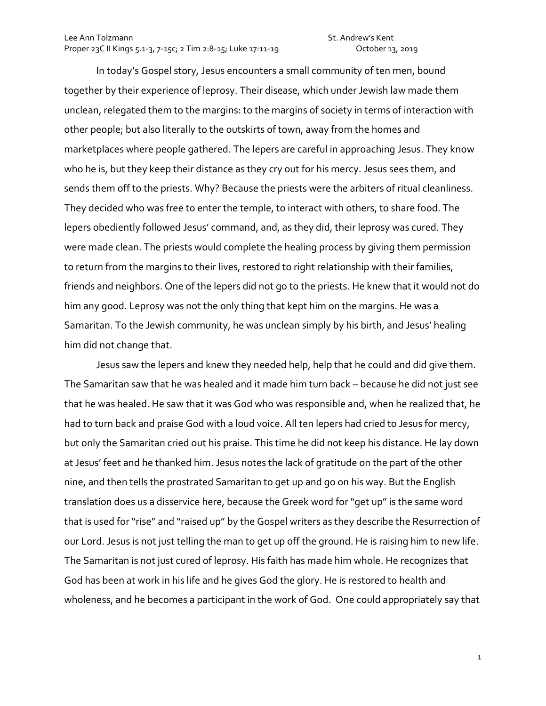In today's Gospel story, Jesus encounters a small community of ten men, bound together by their experience of leprosy. Their disease, which under Jewish law made them unclean, relegated them to the margins: to the margins of society in terms of interaction with other people; but also literally to the outskirts of town, away from the homes and marketplaces where people gathered. The lepers are careful in approaching Jesus. They know who he is, but they keep their distance as they cry out for his mercy. Jesus sees them, and sends them off to the priests. Why? Because the priests were the arbiters of ritual cleanliness. They decided who was free to enter the temple, to interact with others, to share food. The lepers obediently followed Jesus' command, and, as they did, their leprosy was cured. They were made clean. The priests would complete the healing process by giving them permission to return from the margins to their lives, restored to right relationship with their families, friends and neighbors. One of the lepers did not go to the priests. He knew that it would not do him any good. Leprosy was not the only thing that kept him on the margins. He was a Samaritan. To the Jewish community, he was unclean simply by his birth, and Jesus' healing him did not change that.

Jesus saw the lepers and knew they needed help, help that he could and did give them. The Samaritan saw that he was healed and it made him turn back – because he did not just see that he was healed. He saw that it was God who was responsible and, when he realized that, he had to turn back and praise God with a loud voice. All ten lepers had cried to Jesus for mercy, but only the Samaritan cried out his praise. This time he did not keep his distance. He lay down at Jesus' feet and he thanked him. Jesus notes the lack of gratitude on the part of the other nine, and then tells the prostrated Samaritan to get up and go on his way. But the English translation does us a disservice here, because the Greek word for "get up" is the same word that is used for "rise" and "raised up" by the Gospel writers as they describe the Resurrection of our Lord. Jesus is not just telling the man to get up off the ground. He is raising him to new life. The Samaritan is not just cured of leprosy. His faith has made him whole. He recognizes that God has been at work in his life and he gives God the glory. He is restored to health and wholeness, and he becomes a participant in the work of God. One could appropriately say that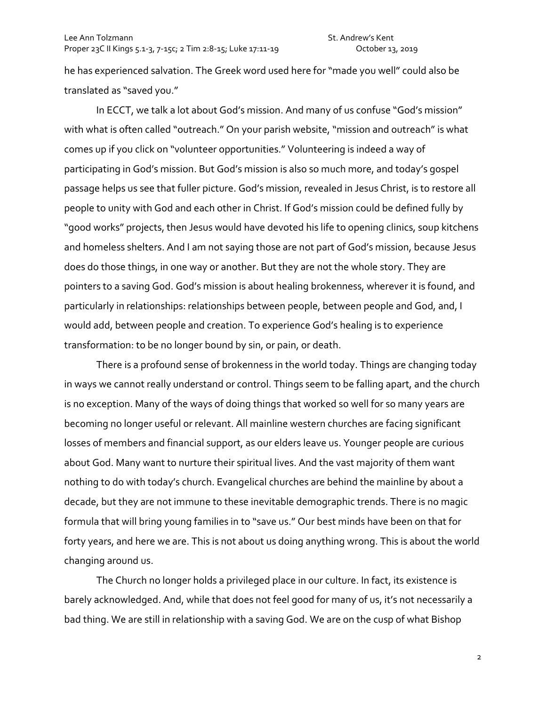he has experienced salvation. The Greek word used here for "made you well" could also be translated as "saved you."

In ECCT, we talk a lot about God's mission. And many of us confuse "God's mission" with what is often called "outreach." On your parish website, "mission and outreach" is what comes up if you click on "volunteer opportunities." Volunteering is indeed a way of participating in God's mission. But God's mission is also so much more, and today's gospel passage helps us see that fuller picture. God's mission, revealed in Jesus Christ, is to restore all people to unity with God and each other in Christ. If God's mission could be defined fully by "good works" projects, then Jesus would have devoted his life to opening clinics, soup kitchens and homeless shelters. And I am not saying those are not part of God's mission, because Jesus does do those things, in one way or another. But they are not the whole story. They are pointers to a saving God. God's mission is about healing brokenness, wherever it is found, and particularly in relationships: relationships between people, between people and God, and, I would add, between people and creation. To experience God's healing is to experience transformation: to be no longer bound by sin, or pain, or death.

There is a profound sense of brokenness in the world today. Things are changing today in ways we cannot really understand or control. Things seem to be falling apart, and the church is no exception. Many of the ways of doing things that worked so well for so many years are becoming no longer useful or relevant. All mainline western churches are facing significant losses of members and financial support, as our elders leave us. Younger people are curious about God. Many want to nurture their spiritual lives. And the vast majority of them want nothing to do with today's church. Evangelical churches are behind the mainline by about a decade, but they are not immune to these inevitable demographic trends. There is no magic formula that will bring young families in to "save us." Our best minds have been on that for forty years, and here we are. This is not about us doing anything wrong. This is about the world changing around us.

The Church no longer holds a privileged place in our culture. In fact, its existence is barely acknowledged. And, while that does not feel good for many of us, it's not necessarily a bad thing. We are still in relationship with a saving God. We are on the cusp of what Bishop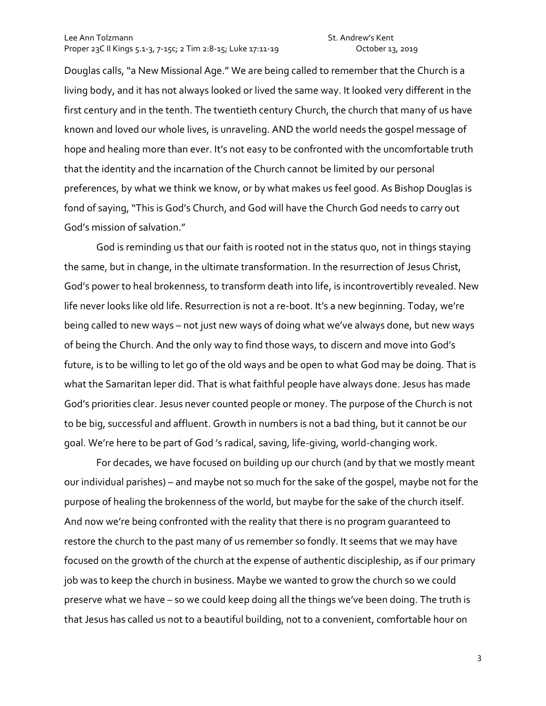Douglas calls, "a New Missional Age." We are being called to remember that the Church is a living body, and it has not always looked or lived the same way. It looked very different in the first century and in the tenth. The twentieth century Church, the church that many of us have known and loved our whole lives, is unraveling. AND the world needs the gospel message of hope and healing more than ever. It's not easy to be confronted with the uncomfortable truth that the identity and the incarnation of the Church cannot be limited by our personal preferences, by what we think we know, or by what makes us feel good. As Bishop Douglas is fond of saying, "This is God's Church, and God will have the Church God needs to carry out God's mission of salvation."

God is reminding us that our faith is rooted not in the status quo, not in things staying the same, but in change, in the ultimate transformation. In the resurrection of Jesus Christ, God's power to heal brokenness, to transform death into life, is incontrovertibly revealed. New life never looks like old life. Resurrection is not a re-boot. It's a new beginning. Today, we're being called to new ways – not just new ways of doing what we've always done, but new ways of being the Church. And the only way to find those ways, to discern and move into God's future, is to be willing to let go of the old ways and be open to what God may be doing. That is what the Samaritan leper did. That is what faithful people have always done. Jesus has made God's priorities clear. Jesus never counted people or money. The purpose of the Church is not to be big, successful and affluent. Growth in numbers is not a bad thing, but it cannot be our goal. We're here to be part of God 's radical, saving, life-giving, world-changing work.

For decades, we have focused on building up our church (and by that we mostly meant our individual parishes) – and maybe not so much for the sake of the gospel, maybe not for the purpose of healing the brokenness of the world, but maybe for the sake of the church itself. And now we're being confronted with the reality that there is no program guaranteed to restore the church to the past many of us remember so fondly. It seems that we may have focused on the growth of the church at the expense of authentic discipleship, as if our primary job was to keep the church in business. Maybe we wanted to grow the church so we could preserve what we have – so we could keep doing all the things we've been doing. The truth is that Jesus has called us not to a beautiful building, not to a convenient, comfortable hour on